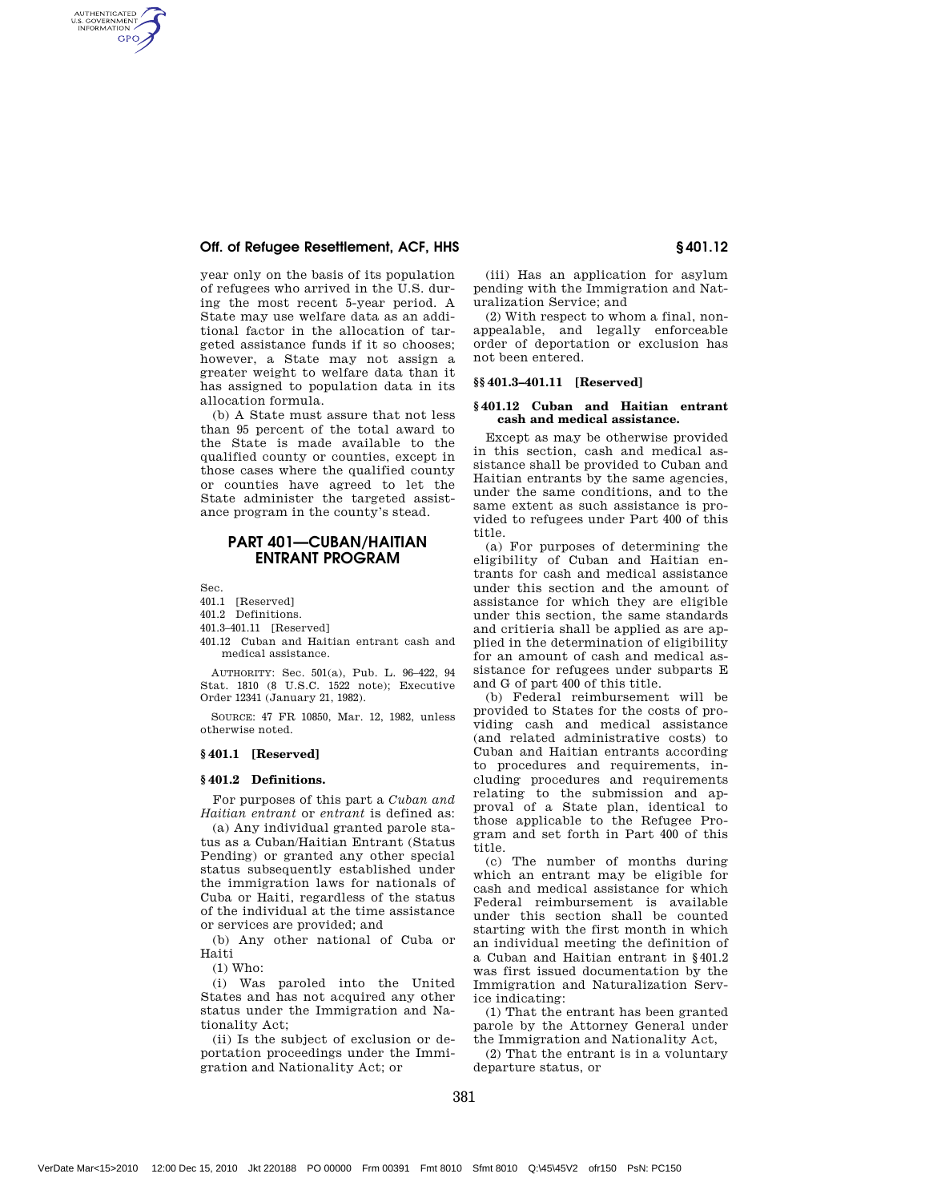## Off. of Refugee Resettlement, ACF, HHS **EXAMPLE 2018** 6401.12

year only on the basis of its population of refugees who arrived in the U.S. during the most recent 5-year period. A State may use welfare data as an additional factor in the allocation of targeted assistance funds if it so chooses; however, a State may not assign a greater weight to welfare data than it has assigned to population data in its allocation formula.

(b) A State must assure that not less than 95 percent of the total award to the State is made available to the qualified county or counties, except in those cases where the qualified county or counties have agreed to let the State administer the targeted assistance program in the county's stead.

# PART 401—CUBAN/HAITIAN ENTRANT PROGRAM

Sec.

AUTHENTICATED<br>U.S. GOVERNMENT<br>INFORMATION **GPO** 

#### 401.1 [Reserved]

- 401.2 Definitions.
- 401.3–401.11 [Reserved]
- 401.12 Cuban and Haitian entrant cash and medical assistance.

AUTHORITY: Sec. 501(a), Pub. L. 96–422, 94 Stat. 1810 (8 U.S.C. 1522 note); Executive Order 12341 (January 21, 1982).

SOURCE: 47 FR 10850, Mar. 12, 1982, unless otherwise noted.

#### **§ 401.1 [Reserved]**

#### **§ 401.2 Definitions.**

For purposes of this part a *Cuban and Haitian entrant* or *entrant* is defined as:

(a) Any individual granted parole status as a Cuban/Haitian Entrant (Status Pending) or granted any other special status subsequently established under the immigration laws for nationals of Cuba or Haiti, regardless of the status of the individual at the time assistance or services are provided; and

(b) Any other national of Cuba or Haiti

(1) Who:

(i) Was paroled into the United States and has not acquired any other status under the Immigration and Nationality Act;

(ii) Is the subject of exclusion or deportation proceedings under the Immigration and Nationality Act; or

(iii) Has an application for asylum pending with the Immigration and Naturalization Service; and

(2) With respect to whom a final, nonappealable, and legally enforceable order of deportation or exclusion has not been entered.

## **§§ 401.3–401.11 [Reserved]**

## **§ 401.12 Cuban and Haitian entrant cash and medical assistance.**

Except as may be otherwise provided in this section, cash and medical assistance shall be provided to Cuban and Haitian entrants by the same agencies, under the same conditions, and to the same extent as such assistance is provided to refugees under Part 400 of this title.

(a) For purposes of determining the eligibility of Cuban and Haitian entrants for cash and medical assistance under this section and the amount of assistance for which they are eligible under this section, the same standards and critieria shall be applied as are applied in the determination of eligibility for an amount of cash and medical assistance for refugees under subparts E and G of part 400 of this title.

(b) Federal reimbursement will be provided to States for the costs of providing cash and medical assistance (and related administrative costs) to Cuban and Haitian entrants according to procedures and requirements, including procedures and requirements relating to the submission and approval of a State plan, identical to those applicable to the Refugee Program and set forth in Part 400 of this title.

(c) The number of months during which an entrant may be eligible for cash and medical assistance for which Federal reimbursement is available under this section shall be counted starting with the first month in which an individual meeting the definition of a Cuban and Haitian entrant in §401.2 was first issued documentation by the Immigration and Naturalization Service indicating:

(1) That the entrant has been granted parole by the Attorney General under the Immigration and Nationality Act,

(2) That the entrant is in a voluntary departure status, or

381